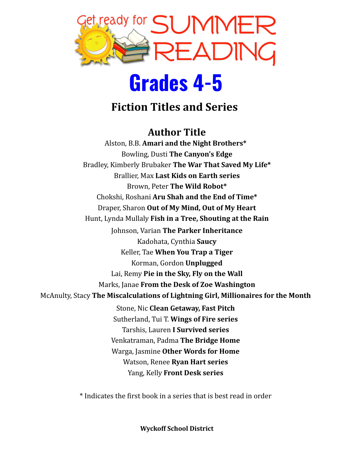

## **Grades 4-5**

### **Fiction Titles and Series**

#### **Author Title**

Alston, B.B. **Amari and the Night Brothers\*** Bowling, Dusti **The Canyon's Edge** Bradley, Kimberly Brubaker **The War That Saved My Life\*** Brallier, Max **Last Kids on Earth series** Brown, Peter **The Wild Robot\*** Chokshi, Roshani **Aru Shah and the End of Time\*** Draper, Sharon **Out of My Mind, Out of My Heart** Hunt, Lynda Mullaly **Fish in a Tree, Shouting at the Rain** Johnson, Varian **The Parker Inheritance** Kadohata, Cynthia **Saucy** Keller, Tae **When You Trap a Tiger** Korman, Gordon **Unplugged** Lai, Remy **Pie in the Sky, Fly on the Wall** Marks, Janae **From the Desk of Zoe Washington** McAnulty, Stacy **The Miscalculations of Lightning Girl, Millionaires for the Month** Stone, Nic **Clean Getaway, Fast Pitch** Sutherland, Tui T. **Wings of Fire series** Tarshis, Lauren **I Survived series** Venkatraman, Padma **The Bridge Home** Warga, Jasmine **Other Words for Home** Watson, Renee **Ryan Hart series** Yang, Kelly **Front Desk series**

\* Indicates the first book in a series that is best read in order

**Wyckoff School District**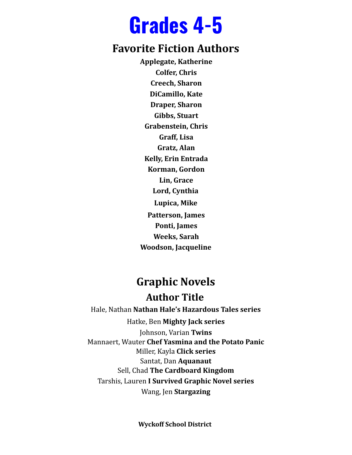## **Grades 4-5**

#### **Favorite Fiction Authors**

**Applegate, Katherine Colfer, Chris Creech, Sharon DiCamillo, Kate Draper, Sharon Gibbs, Stuart Grabenstein, Chris Graff, Lisa Gratz, Alan Kelly, Erin Entrada Korman, Gordon Lin, Grace Lord, Cynthia Lupica, Mike Patterson, James Ponti, James Weeks, Sarah Woodson, Jacqueline**

### **Graphic Novels Author Title**

Hale, Nathan **Nathan Hale's Hazardous Tales series** Hatke, Ben **Mighty Jack series** Johnson, Varian **Twins** Mannaert, Wauter **Chef Yasmina and the Potato Panic** Miller, Kayla **Click series** Santat, Dan **Aquanaut** Sell, Chad **The Cardboard Kingdom** Tarshis, Lauren **I Survived Graphic Novel series** Wang, Jen **Stargazing**

**Wyckoff School District**